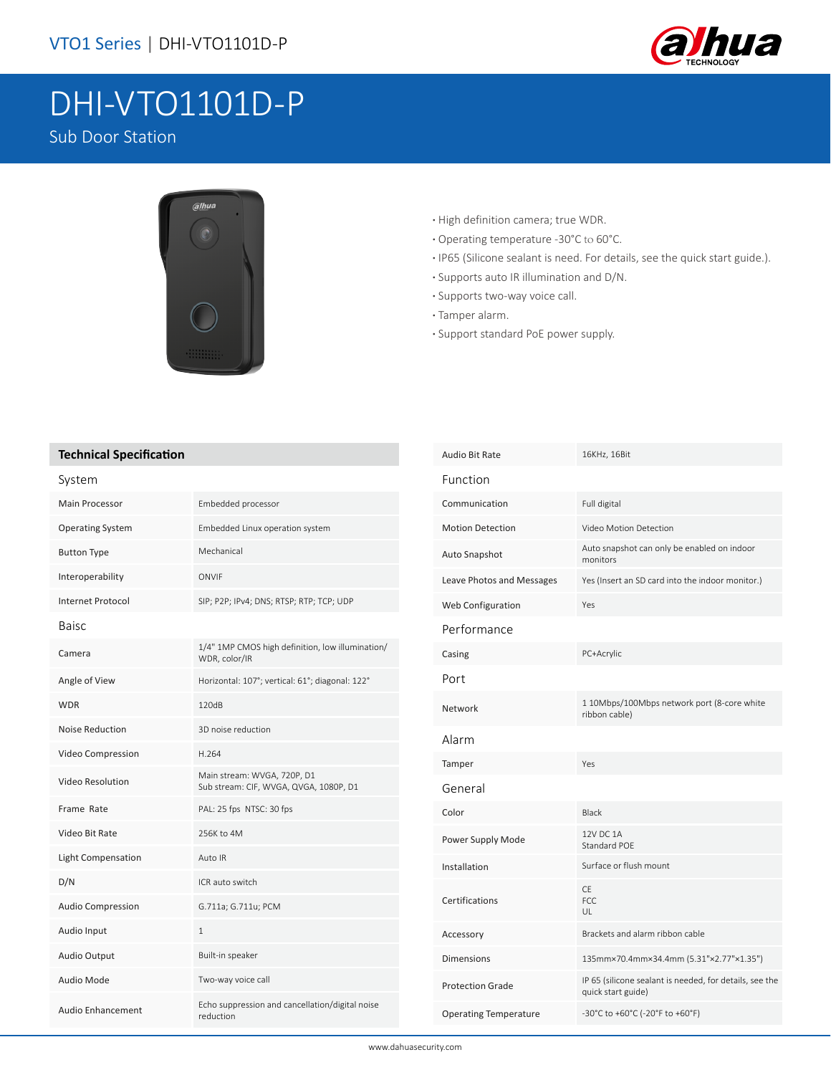

## DHI-VTO1101D-P Sub Door Station



- **·** High definition camera; true WDR.
- **·** Operating temperature -30°C to 60°C.
- **·** IP65 (Silicone sealant is need. For details, see the quick start guide.).
- **·** Supports auto IR illumination and D/N.
- **·** Supports two-way voice call.
- **·** Tamper alarm.
- **·** Support standard PoE power supply.

## **Technical Specification**

| υγνισιιι                 |                                                                       |
|--------------------------|-----------------------------------------------------------------------|
| <b>Main Processor</b>    | Embedded processor                                                    |
| <b>Operating System</b>  | Embedded Linux operation system                                       |
| <b>Button Type</b>       | Mechanical                                                            |
| Interoperability         | ONVIF                                                                 |
| <b>Internet Protocol</b> | SIP; P2P; IPv4; DNS; RTSP; RTP; TCP; UDP                              |
| <b>Baisc</b>             |                                                                       |
| Camera                   | 1/4" 1MP CMOS high definition, low illumination/<br>WDR, color/IR     |
| Angle of View            | Horizontal: 107°; vertical: 61°; diagonal: 122°                       |
| <b>WDR</b>               | 120dB                                                                 |
| <b>Noise Reduction</b>   | 3D noise reduction                                                    |
| Video Compression        | H.264                                                                 |
| Video Resolution         | Main stream: WVGA, 720P, D1<br>Sub stream: CIF, WVGA, QVGA, 1080P, D1 |
| Frame Rate               | PAL: 25 fps NTSC: 30 fps                                              |
| Video Bit Rate           | 256K to 4M                                                            |
| Light Compensation       | Auto IR                                                               |
| D/N                      | ICR auto switch                                                       |
| Audio Compression        | G.711a; G.711u; PCM                                                   |
| Audio Input              | $\mathbf{1}$                                                          |
| <b>Audio Output</b>      | Built-in speaker                                                      |
| Audio Mode               | Two-way voice call                                                    |
| <b>Audio Enhancement</b> | Echo suppression and cancellation/digital noise<br>reduction          |

| Audio Bit Rate               | 16KHz, 16Bit                                                                  |
|------------------------------|-------------------------------------------------------------------------------|
| Function                     |                                                                               |
| Communication                | Full digital                                                                  |
| <b>Motion Detection</b>      | Video Motion Detection                                                        |
| Auto Snapshot                | Auto snapshot can only be enabled on indoor<br>monitors                       |
| Leave Photos and Messages    | Yes (Insert an SD card into the indoor monitor.)                              |
| Web Configuration            | Yes                                                                           |
| Performance                  |                                                                               |
| Casing                       | PC+Acrylic                                                                    |
| Port                         |                                                                               |
| Network                      | 1 10Mbps/100Mbps network port (8-core white<br>ribbon cable)                  |
| Alarm                        |                                                                               |
| Tamper                       | Yes                                                                           |
| General                      |                                                                               |
| Color                        | <b>Black</b>                                                                  |
| Power Supply Mode            | 12V DC 1A<br>Standard POF                                                     |
| Installation                 | Surface or flush mount                                                        |
| Certifications               | <b>CE</b><br>FCC.<br>UL                                                       |
| Accessory                    | Brackets and alarm ribbon cable                                               |
| <b>Dimensions</b>            | 135mm×70.4mm×34.4mm (5.31"×2.77"×1.35")                                       |
| <b>Protection Grade</b>      | IP 65 (silicone sealant is needed, for details, see the<br>quick start guide) |
| <b>Operating Temperature</b> | -30°C to +60°C (-20°F to +60°F)                                               |